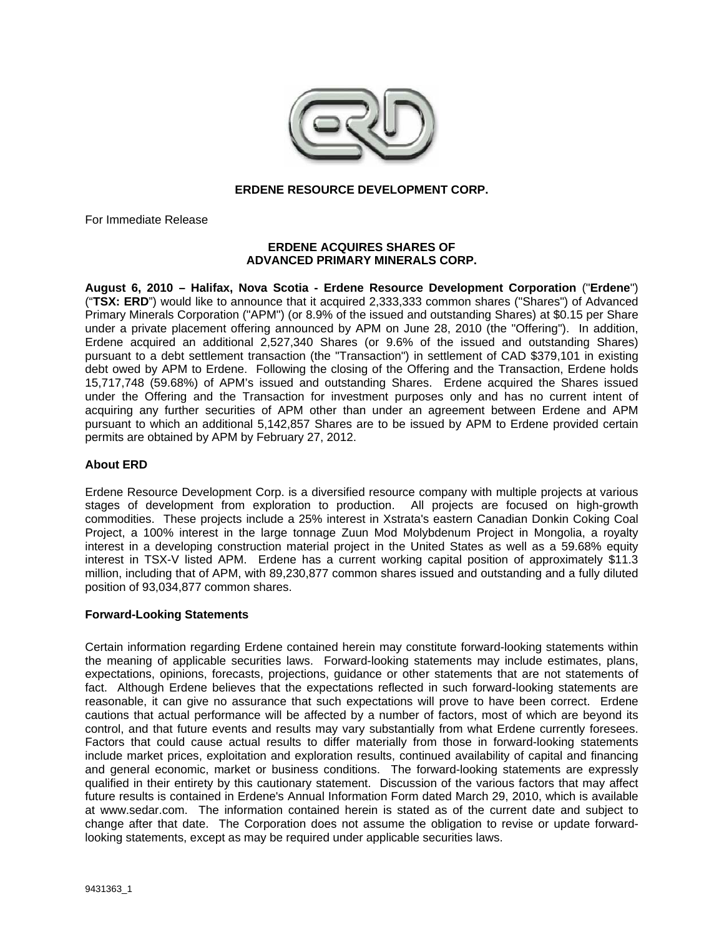

## **ERDENE RESOURCE DEVELOPMENT CORP.**

For Immediate Release

## **ERDENE ACQUIRES SHARES OF ADVANCED PRIMARY MINERALS CORP.**

**August 6, 2010 – Halifax, Nova Scotia - Erdene Resource Development Corporation** ("**Erdene**") ("**TSX: ERD**") would like to announce that it acquired 2,333,333 common shares ("Shares") of Advanced Primary Minerals Corporation ("APM") (or 8.9% of the issued and outstanding Shares) at \$0.15 per Share under a private placement offering announced by APM on June 28, 2010 (the "Offering"). In addition, Erdene acquired an additional 2,527,340 Shares (or 9.6% of the issued and outstanding Shares) pursuant to a debt settlement transaction (the "Transaction") in settlement of CAD \$379,101 in existing debt owed by APM to Erdene. Following the closing of the Offering and the Transaction, Erdene holds 15,717,748 (59.68%) of APM's issued and outstanding Shares. Erdene acquired the Shares issued under the Offering and the Transaction for investment purposes only and has no current intent of acquiring any further securities of APM other than under an agreement between Erdene and APM pursuant to which an additional 5,142,857 Shares are to be issued by APM to Erdene provided certain permits are obtained by APM by February 27, 2012.

#### **About ERD**

Erdene Resource Development Corp. is a diversified resource company with multiple projects at various stages of development from exploration to production. All projects are focused on high-growth commodities. These projects include a 25% interest in Xstrata's eastern Canadian Donkin Coking Coal Project, a 100% interest in the large tonnage Zuun Mod Molybdenum Project in Mongolia, a royalty interest in a developing construction material project in the United States as well as a 59.68% equity interest in TSX-V listed APM. Erdene has a current working capital position of approximately \$11.3 million, including that of APM, with 89,230,877 common shares issued and outstanding and a fully diluted position of 93,034,877 common shares.

#### **Forward-Looking Statements**

Certain information regarding Erdene contained herein may constitute forward-looking statements within the meaning of applicable securities laws. Forward-looking statements may include estimates, plans, expectations, opinions, forecasts, projections, guidance or other statements that are not statements of fact. Although Erdene believes that the expectations reflected in such forward-looking statements are reasonable, it can give no assurance that such expectations will prove to have been correct. Erdene cautions that actual performance will be affected by a number of factors, most of which are beyond its control, and that future events and results may vary substantially from what Erdene currently foresees. Factors that could cause actual results to differ materially from those in forward-looking statements include market prices, exploitation and exploration results, continued availability of capital and financing and general economic, market or business conditions. The forward-looking statements are expressly qualified in their entirety by this cautionary statement. Discussion of the various factors that may affect future results is contained in Erdene's Annual Information Form dated March 29, 2010, which is available at www.sedar.com. The information contained herein is stated as of the current date and subject to change after that date. The Corporation does not assume the obligation to revise or update forwardlooking statements, except as may be required under applicable securities laws.